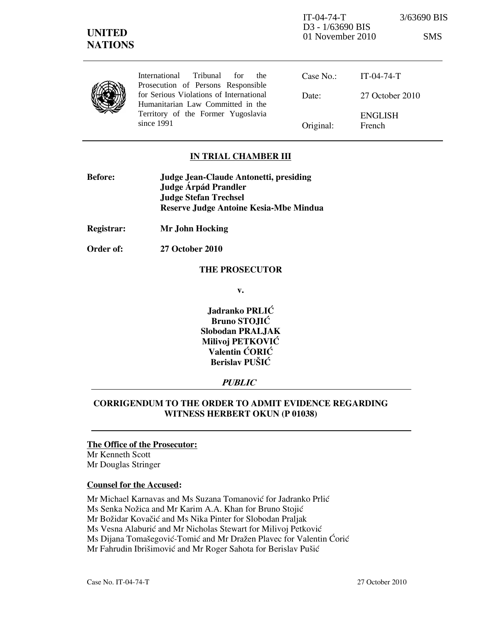| <b>UNITED</b> | <b>NATIONS</b>                                                                |           | IT-04-74-T<br>D <sub>3</sub> - 1/63690 BIS<br>01 November 2010 | 3/63690 BIS<br><b>SMS</b> |
|---------------|-------------------------------------------------------------------------------|-----------|----------------------------------------------------------------|---------------------------|
|               | International<br>Tribunal<br>for<br>the<br>Prosecution of Persons Responsible | Case No.  | $IT-04-74-T$                                                   |                           |
|               | for Serious Violations of International<br>Humanitarian Law Committed in the  | Date:     | 27 October 2010                                                |                           |
|               | Territory of the Former Yugoslavia<br>since $1991$                            | Original: | <b>ENGLISH</b><br>French                                       |                           |

## IN TRIAL CHAMBER III

| Judge Jean-Claude Antonetti, presiding |  |
|----------------------------------------|--|
| Judge Árpád Prandler                   |  |
| <b>Judge Stefan Trechsel</b>           |  |
| Reserve Judge Antoine Kesia-Mbe Mindua |  |
|                                        |  |

Registrar: Mr John Hocking

Order of: 27 October 2010

#### THE PROSECUTOR

v.

Jadranko PRLIĆ Bruno STOJIĆ Slobodan PRALJAK Milivoj PETKOVIĆ Valentin ĆORIĆ Berislav PUŠIĆ

## PUBLIC

# CORRIGENDUM TO THE ORDER TO ADMIT EVIDENCE REGARDING WITNESS HERBERT OKUN (P 01038)

#### The Office of the Prosecutor:

Mr Kenneth Scott Mr Douglas Stringer

## Counsel for the Accused:

Mr Michael Karnavas and Ms Suzana Tomanović for Jadranko Prlić

Ms Senka Nožica and Mr Karim A.A. Khan for Bruno Stojić

Mr Božidar Kovačić and Ms Nika Pinter for Slobodan Praljak

Ms Vesna Alaburić and Mr Nicholas Stewart for Milivoj Petković

Ms Dijana Tomašegović-Tomić and Mr Dražen Plavec for Valentin Ćorić

Mr Fahrudin Ibrišimović and Mr Roger Sahota for Berislav Pušić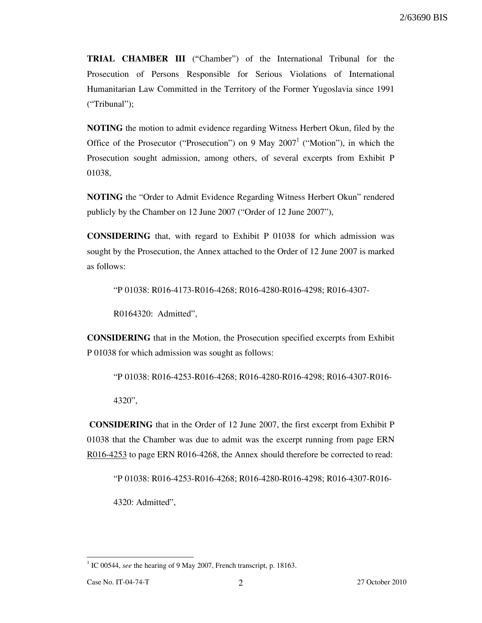TRIAL CHAMBER III ("Chamber") of the International Tribunal for the Prosecution of Persons Responsible for Serious Violations of International Humanitarian Law Committed in the Territory of the Former Yugoslavia since 1991 ("Tribunal");

NOTING the motion to admit evidence regarding Witness Herbert Okun, filed by the Office of the Prosecutor ("Prosecution") on 9 May  $2007<sup>1</sup>$  ("Motion"), in which the Prosecution sought admission, among others, of several excerpts from Exhibit P 01038,

NOTING the "Order to Admit Evidence Regarding Witness Herbert Okun" rendered publicly by the Chamber on 12 June 2007 ("Order of 12 June 2007"),

CONSIDERING that, with regard to Exhibit P 01038 for which admission was sought by the Prosecution, the Annex attached to the Order of 12 June 2007 is marked as follows:

"P 01038: R016-4173-R016-4268; R016-4280-R016-4298; R016-4307-

R0164320: Admitted",

CONSIDERING that in the Motion, the Prosecution specified excerpts from Exhibit P 01038 for which admission was sought as follows:

"P 01038: R016-4253-R016-4268; R016-4280-R016-4298; R016-4307-R016-

4320",

 CONSIDERING that in the Order of 12 June 2007, the first excerpt from Exhibit P 01038 that the Chamber was due to admit was the excerpt running from page ERN R016-4253 to page ERN R016-4268, the Annex should therefore be corrected to read:

"P 01038: R016-4253-R016-4268; R016-4280-R016-4298; R016-4307-R016-

4320: Admitted",

-

 $1$  IC 00544, see the hearing of 9 May 2007, French transcript, p. 18163.